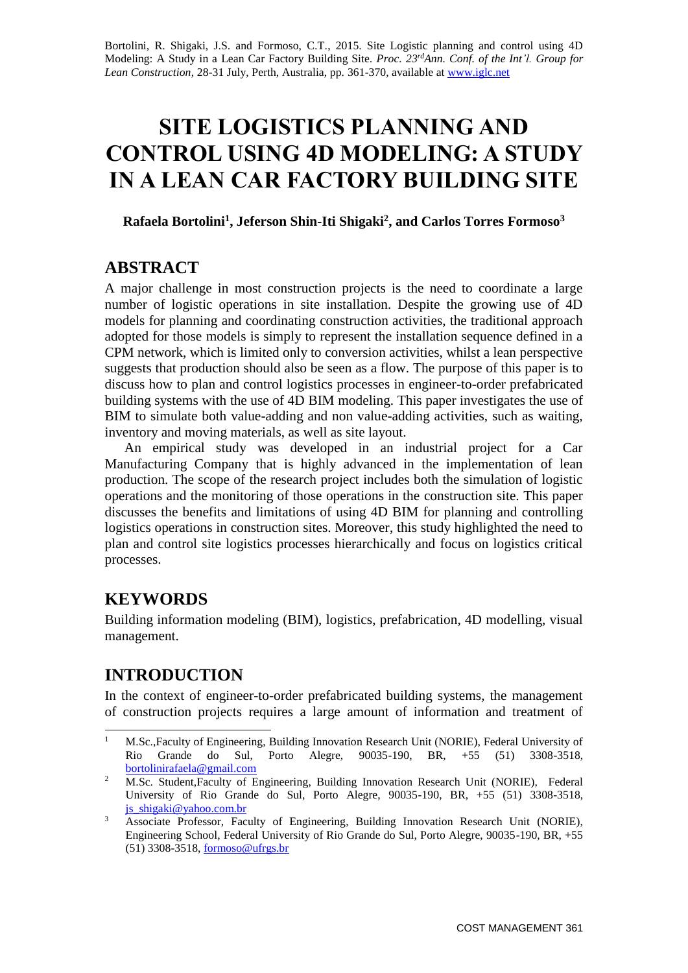Bortolini, R. Shigaki, J.S. and Formoso, C.T., 2015. Site Logistic planning and control using 4D Modeling: A Study in a Lean Car Factory Building Site. *Proc. 23rdAnn. Conf. of the Int'l. Group for Lean Construction*, 28-31 July, Perth, Australia, pp. 361-370, available at [www.iglc.net](http://www.iglc.net/)

# **SITE LOGISTICS PLANNING AND CONTROL USING 4D MODELING: A STUDY IN A LEAN CAR FACTORY BUILDING SITE**

**Rafaela Bortolini<sup>1</sup> , Jeferson Shin-Iti Shigaki<sup>2</sup> , and Carlos Torres Formoso<sup>3</sup>**

#### **ABSTRACT**

A major challenge in most construction projects is the need to coordinate a large number of logistic operations in site installation. Despite the growing use of 4D models for planning and coordinating construction activities, the traditional approach adopted for those models is simply to represent the installation sequence defined in a CPM network, which is limited only to conversion activities, whilst a lean perspective suggests that production should also be seen as a flow. The purpose of this paper is to discuss how to plan and control logistics processes in engineer-to-order prefabricated building systems with the use of 4D BIM modeling. This paper investigates the use of BIM to simulate both value-adding and non value-adding activities, such as waiting, inventory and moving materials, as well as site layout.

An empirical study was developed in an industrial project for a Car Manufacturing Company that is highly advanced in the implementation of lean production. The scope of the research project includes both the simulation of logistic operations and the monitoring of those operations in the construction site. This paper discusses the benefits and limitations of using 4D BIM for planning and controlling logistics operations in construction sites. Moreover, this study highlighted the need to plan and control site logistics processes hierarchically and focus on logistics critical processes.

#### **KEYWORDS**

Building information modeling (BIM), logistics, prefabrication, 4D modelling, visual management.

## **INTRODUCTION**

In the context of engineer-to-order prefabricated building systems, the management of construction projects requires a large amount of information and treatment of

 $1\,$ <sup>1</sup> M.Sc.,Faculty of Engineering, Building Innovation Research Unit (NORIE), Federal University of Rio Grande do Sul, Porto Alegre, 90035-190, BR, +55 (51) 3308-3518, [bortolinirafaela@gmail.com](mailto:bortolinirafaela@gmail.com)

<sup>&</sup>lt;sup>2</sup> M.Sc. Student,Faculty of Engineering, Building Innovation Research Unit (NORIE), Federal University of Rio Grande do Sul, Porto Alegre, 90035-190, BR, +55 (51) 3308-3518, js  $shigaki@vahoo.com.br$ 

<sup>&</sup>lt;sup>3</sup> Associate Professor, Faculty of Engineering, Building Innovation Research Unit (NORIE), Engineering School, Federal University of Rio Grande do Sul, Porto Alegre, 90035-190, BR, +55 (51) 3308-3518, [formoso@ufrgs.br](mailto:formoso@ufrgs.br)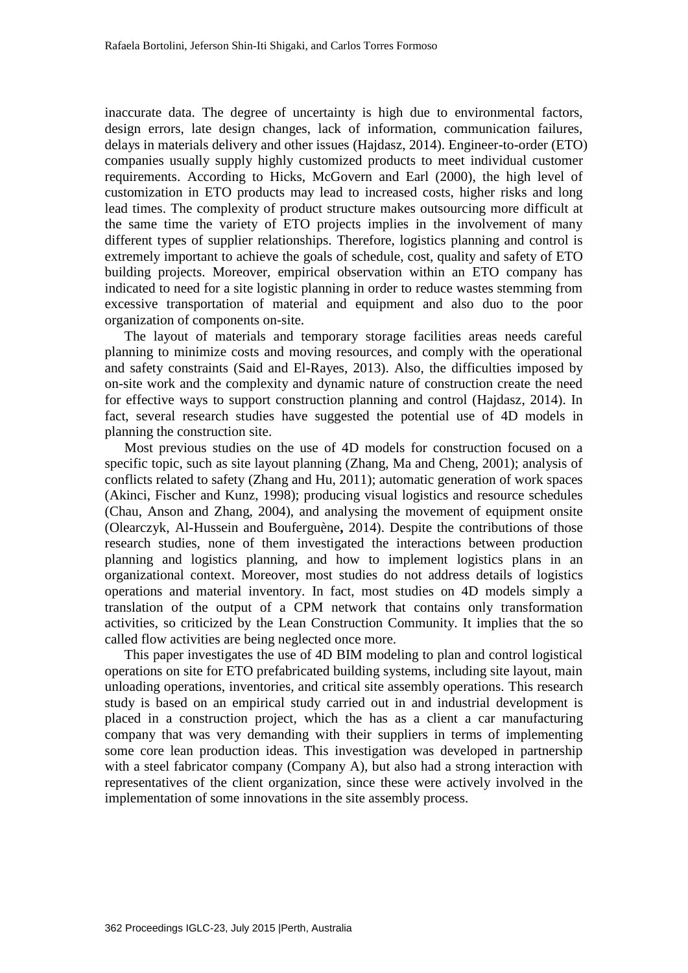inaccurate data. The degree of uncertainty is high due to environmental factors, design errors, late design changes, lack of information, communication failures, delays in materials delivery and other issues (Hajdasz, 2014). Engineer-to-order (ETO) companies usually supply highly customized products to meet individual customer requirements. According to Hicks, McGovern and Earl (2000), the high level of customization in ETO products may lead to increased costs, higher risks and long lead times. The complexity of product structure makes outsourcing more difficult at the same time the variety of ETO projects implies in the involvement of many different types of supplier relationships. Therefore, logistics planning and control is extremely important to achieve the goals of schedule, cost, quality and safety of ETO building projects. Moreover, empirical observation within an ETO company has indicated to need for a site logistic planning in order to reduce wastes stemming from excessive transportation of material and equipment and also duo to the poor organization of components on-site.

The layout of materials and temporary storage facilities areas needs careful planning to minimize costs and moving resources, and comply with the operational and safety constraints (Said and El-Rayes, 2013). Also, the difficulties imposed by on-site work and the complexity and dynamic nature of construction create the need for effective ways to support construction planning and control (Hajdasz, 2014). In fact, several research studies have suggested the potential use of 4D models in planning the construction site.

Most previous studies on the use of 4D models for construction focused on a specific topic, such as site layout planning (Zhang, Ma and Cheng, 2001); analysis of conflicts related to safety (Zhang and Hu, 2011); automatic generation of work spaces (Akinci, Fischer and Kunz, 1998); producing visual logistics and resource schedules (Chau, Anson and Zhang, 2004), and analysing the movement of equipment onsite (Olearczyk, Al-Hussein and Bouferguène**,** 2014). Despite the contributions of those research studies, none of them investigated the interactions between production planning and logistics planning, and how to implement logistics plans in an organizational context. Moreover, most studies do not address details of logistics operations and material inventory. In fact, most studies on 4D models simply a translation of the output of a CPM network that contains only transformation activities, so criticized by the Lean Construction Community. It implies that the so called flow activities are being neglected once more.

This paper investigates the use of 4D BIM modeling to plan and control logistical operations on site for ETO prefabricated building systems, including site layout, main unloading operations, inventories, and critical site assembly operations. This research study is based on an empirical study carried out in and industrial development is placed in a construction project, which the has as a client a car manufacturing company that was very demanding with their suppliers in terms of implementing some core lean production ideas. This investigation was developed in partnership with a steel fabricator company (Company A), but also had a strong interaction with representatives of the client organization, since these were actively involved in the implementation of some innovations in the site assembly process.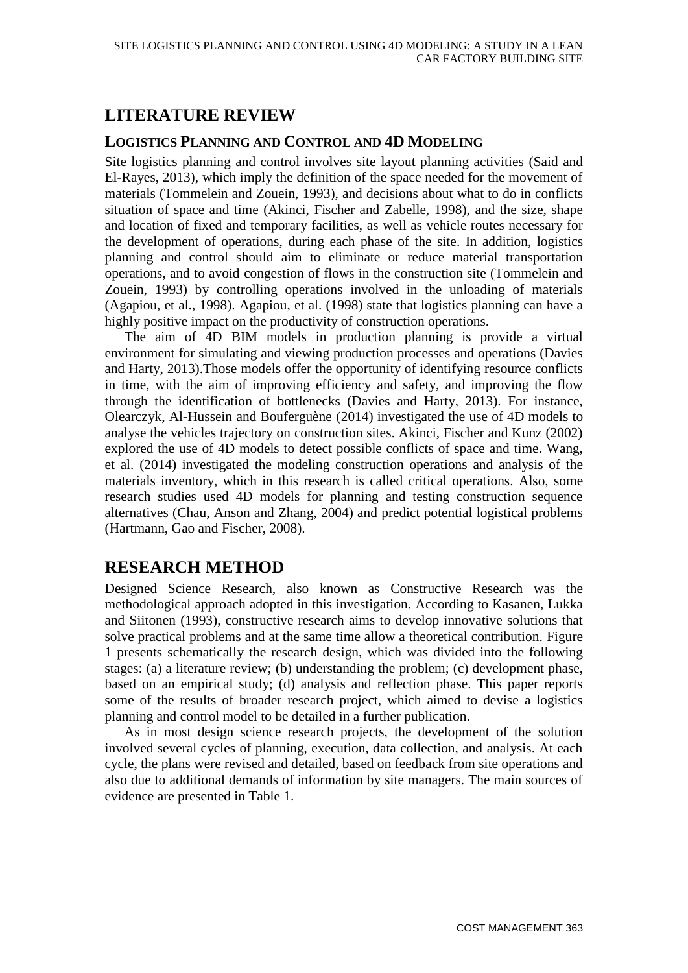# **LITERATURE REVIEW**

#### **LOGISTICS PLANNING AND CONTROL AND 4D MODELING**

Site logistics planning and control involves site layout planning activities (Said and El-Rayes, 2013), which imply the definition of the space needed for the movement of materials (Tommelein and Zouein, 1993), and decisions about what to do in conflicts situation of space and time (Akinci, Fischer and Zabelle, 1998), and the size, shape and location of fixed and temporary facilities, as well as vehicle routes necessary for the development of operations, during each phase of the site. In addition, logistics planning and control should aim to eliminate or reduce material transportation operations, and to avoid congestion of flows in the construction site (Tommelein and Zouein, 1993) by controlling operations involved in the unloading of materials (Agapiou, et al., 1998). Agapiou, et al. (1998) state that logistics planning can have a highly positive impact on the productivity of construction operations.

The aim of 4D BIM models in production planning is provide a virtual environment for simulating and viewing production processes and operations (Davies and Harty, 2013).Those models offer the opportunity of identifying resource conflicts in time, with the aim of improving efficiency and safety, and improving the flow through the identification of bottlenecks (Davies and Harty, 2013). For instance, Olearczyk, Al-Hussein and Bouferguène (2014) investigated the use of 4D models to analyse the vehicles trajectory on construction sites. Akinci, Fischer and Kunz (2002) explored the use of 4D models to detect possible conflicts of space and time. Wang, et al. (2014) investigated the modeling construction operations and analysis of the materials inventory, which in this research is called critical operations. Also, some research studies used 4D models for planning and testing construction sequence alternatives (Chau, Anson and Zhang, 2004) and predict potential logistical problems (Hartmann, Gao and Fischer, 2008).

## **RESEARCH METHOD**

Designed Science Research, also known as Constructive Research was the methodological approach adopted in this investigation. According to Kasanen, Lukka and Siitonen (1993), constructive research aims to develop innovative solutions that solve practical problems and at the same time allow a theoretical contribution. Figure 1 presents schematically the research design, which was divided into the following stages: (a) a literature review; (b) understanding the problem; (c) development phase, based on an empirical study; (d) analysis and reflection phase. This paper reports some of the results of broader research project, which aimed to devise a logistics planning and control model to be detailed in a further publication.

As in most design science research projects, the development of the solution involved several cycles of planning, execution, data collection, and analysis. At each cycle, the plans were revised and detailed, based on feedback from site operations and also due to additional demands of information by site managers. The main sources of evidence are presented in Table 1.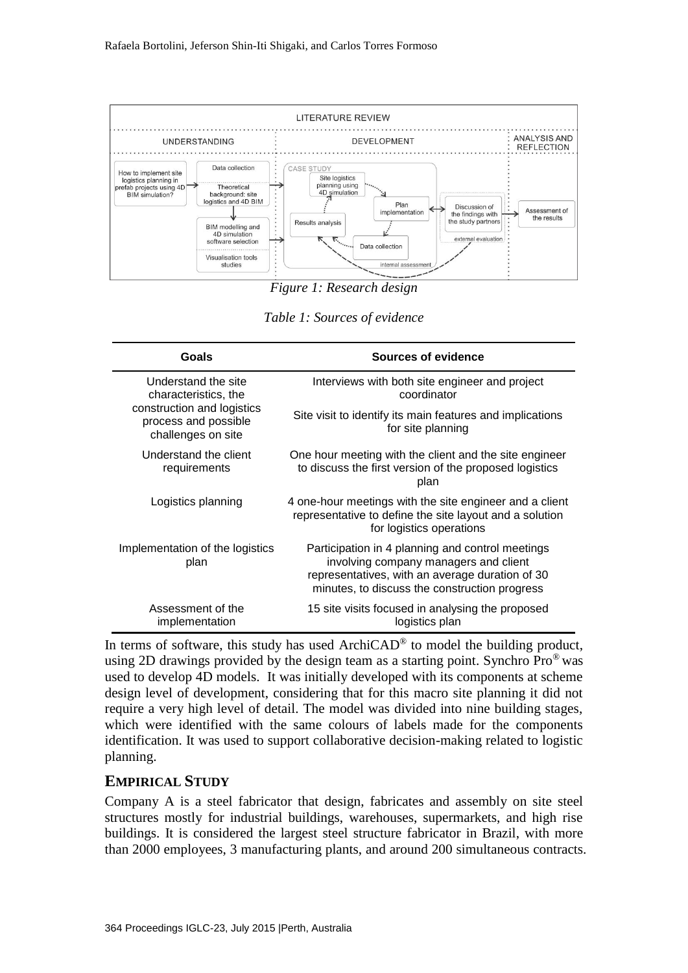

*Figure 1: Research design*

*Table 1: Sources of evidence*

| Goals                                                                                                                   | Sources of evidence                                                                                                                                                                           |
|-------------------------------------------------------------------------------------------------------------------------|-----------------------------------------------------------------------------------------------------------------------------------------------------------------------------------------------|
| Understand the site<br>characteristics, the<br>construction and logistics<br>process and possible<br>challenges on site | Interviews with both site engineer and project<br>coordinator                                                                                                                                 |
|                                                                                                                         | Site visit to identify its main features and implications<br>for site planning                                                                                                                |
| Understand the client<br>requirements                                                                                   | One hour meeting with the client and the site engineer<br>to discuss the first version of the proposed logistics<br>plan                                                                      |
| Logistics planning                                                                                                      | 4 one-hour meetings with the site engineer and a client<br>representative to define the site layout and a solution<br>for logistics operations                                                |
| Implementation of the logistics<br>plan                                                                                 | Participation in 4 planning and control meetings<br>involving company managers and client<br>representatives, with an average duration of 30<br>minutes, to discuss the construction progress |
| Assessment of the<br>implementation                                                                                     | 15 site visits focused in analysing the proposed<br>logistics plan                                                                                                                            |

In terms of software, this study has used  $ArchicAD<sup>®</sup>$  to model the building product, using 2D drawings provided by the design team as a starting point. Synchro  $Pro^{\circledast}$  was used to develop 4D models. It was initially developed with its components at scheme design level of development, considering that for this macro site planning it did not require a very high level of detail. The model was divided into nine building stages, which were identified with the same colours of labels made for the components identification. It was used to support collaborative decision-making related to logistic planning.

#### **EMPIRICAL STUDY**

Company A is a steel fabricator that design, fabricates and assembly on site steel structures mostly for industrial buildings, warehouses, supermarkets, and high rise buildings. It is considered the largest steel structure fabricator in Brazil, with more than 2000 employees, 3 manufacturing plants, and around 200 simultaneous contracts.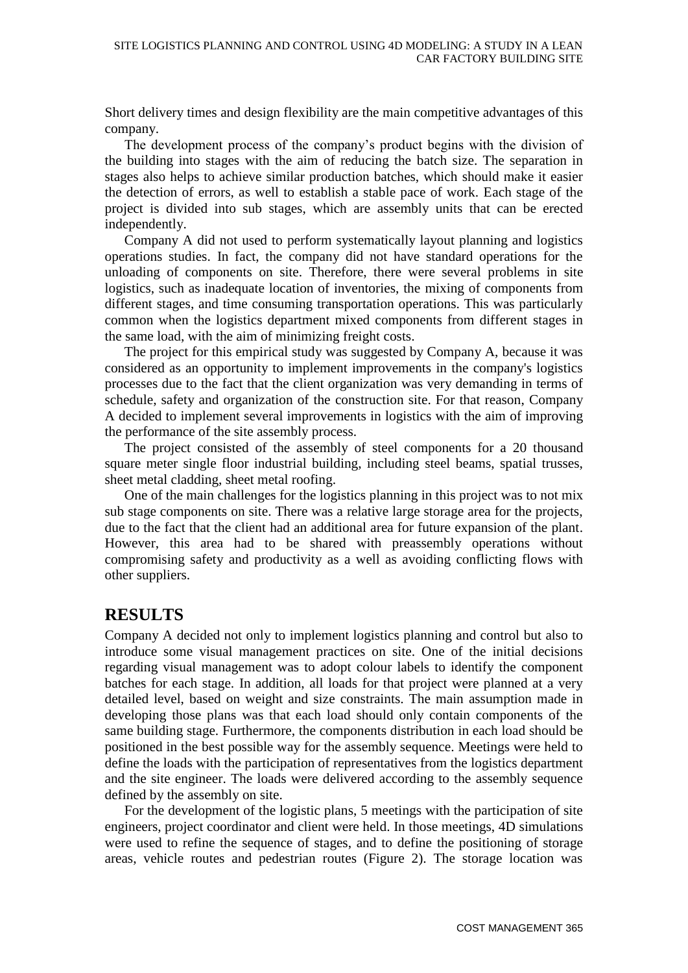Short delivery times and design flexibility are the main competitive advantages of this company.

The development process of the company's product begins with the division of the building into stages with the aim of reducing the batch size. The separation in stages also helps to achieve similar production batches, which should make it easier the detection of errors, as well to establish a stable pace of work. Each stage of the project is divided into sub stages, which are assembly units that can be erected independently.

Company A did not used to perform systematically layout planning and logistics operations studies. In fact, the company did not have standard operations for the unloading of components on site. Therefore, there were several problems in site logistics, such as inadequate location of inventories, the mixing of components from different stages, and time consuming transportation operations. This was particularly common when the logistics department mixed components from different stages in the same load, with the aim of minimizing freight costs.

The project for this empirical study was suggested by Company A, because it was considered as an opportunity to implement improvements in the company's logistics processes due to the fact that the client organization was very demanding in terms of schedule, safety and organization of the construction site. For that reason, Company A decided to implement several improvements in logistics with the aim of improving the performance of the site assembly process.

The project consisted of the assembly of steel components for a 20 thousand square meter single floor industrial building, including steel beams, spatial trusses, sheet metal cladding, sheet metal roofing.

One of the main challenges for the logistics planning in this project was to not mix sub stage components on site. There was a relative large storage area for the projects, due to the fact that the client had an additional area for future expansion of the plant. However, this area had to be shared with preassembly operations without compromising safety and productivity as a well as avoiding conflicting flows with other suppliers.

#### **RESULTS**

Company A decided not only to implement logistics planning and control but also to introduce some visual management practices on site. One of the initial decisions regarding visual management was to adopt colour labels to identify the component batches for each stage. In addition, all loads for that project were planned at a very detailed level, based on weight and size constraints. The main assumption made in developing those plans was that each load should only contain components of the same building stage. Furthermore, the components distribution in each load should be positioned in the best possible way for the assembly sequence. Meetings were held to define the loads with the participation of representatives from the logistics department and the site engineer. The loads were delivered according to the assembly sequence defined by the assembly on site.

For the development of the logistic plans, 5 meetings with the participation of site engineers, project coordinator and client were held. In those meetings, 4D simulations were used to refine the sequence of stages, and to define the positioning of storage areas, vehicle routes and pedestrian routes (Figure 2). The storage location was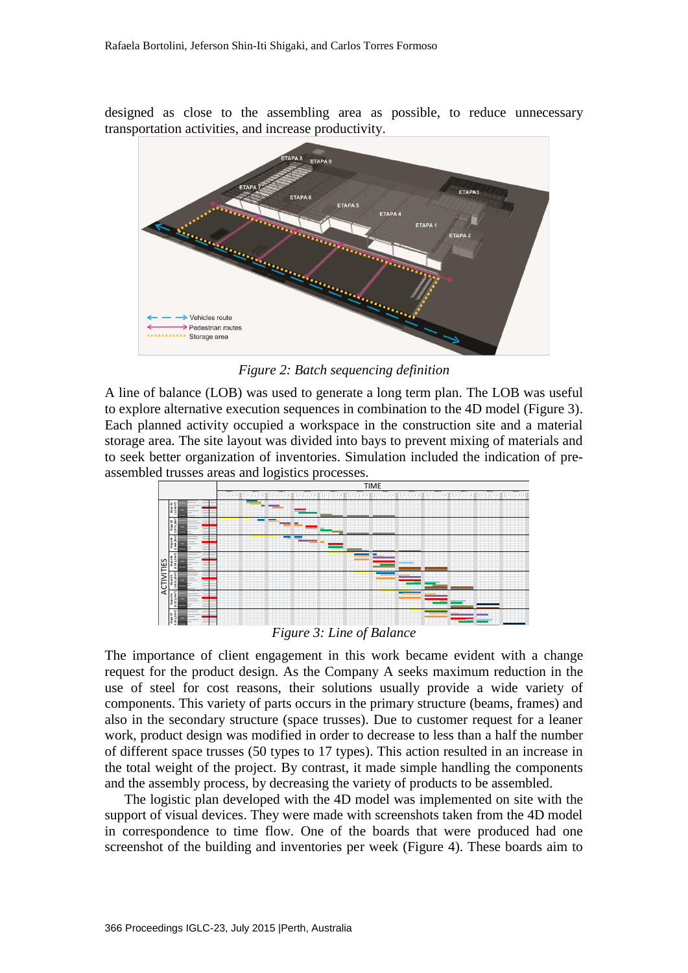designed as close to the assembling area as possible, to reduce unnecessary transportation activities, and increase productivity.



*Figure 2: Batch sequencing definition*

A line of balance (LOB) was used to generate a long term plan. The LOB was useful to explore alternative execution sequences in combination to the 4D model (Figure 3). Each planned activity occupied a workspace in the construction site and a material storage area. The site layout was divided into bays to prevent mixing of materials and to seek better organization of inventories. Simulation included the indication of preassembled trusses areas and logistics processes.



*Figure 3: Line of Balance*

The importance of client engagement in this work became evident with a change request for the product design. As the Company A seeks maximum reduction in the use of steel for cost reasons, their solutions usually provide a wide variety of components. This variety of parts occurs in the primary structure (beams, frames) and also in the secondary structure (space trusses). Due to customer request for a leaner work, product design was modified in order to decrease to less than a half the number of different space trusses (50 types to 17 types). This action resulted in an increase in the total weight of the project. By contrast, it made simple handling the components and the assembly process, by decreasing the variety of products to be assembled. Figure 3: Line of Balance<br>
Figure 3: Line of Balance<br>
Figure 3: Line of Balance<br>
Figure 3: Line of Balance<br>
Figure 3: Line of Balance<br>
Figure 3: Line of Balance<br>
Figure 3: Line of Balance<br>
Figure 3: Line of Balance<br>
Figur

The logistic plan developed with the 4D model was implemented on site with the support of visual devices. They were made with screenshots taken from the 4D model in correspondence to time flow. One of the boards that were produced had one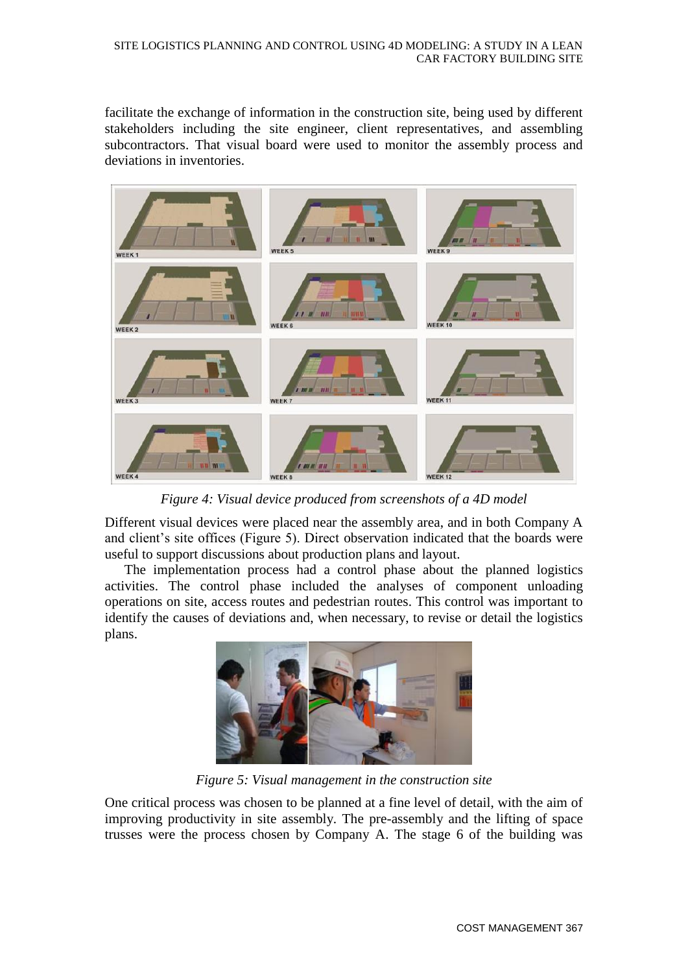facilitate the exchange of information in the construction site, being used by different stakeholders including the site engineer, client representatives, and assembling subcontractors. That visual board were used to monitor the assembly process and deviations in inventories.



*Figure 4: Visual device produced from screenshots of a 4D model*

Different visual devices were placed near the assembly area, and in both Company A and client's site offices (Figure 5). Direct observation indicated that the boards were useful to support discussions about production plans and layout.

The implementation process had a control phase about the planned logistics activities. The control phase included the analyses of component unloading operations on site, access routes and pedestrian routes. This control was important to identify the causes of deviations and, when necessary, to revise or detail the logistics plans.



*Figure 5: Visual management in the construction site*

One critical process was chosen to be planned at a fine level of detail, with the aim of improving productivity in site assembly. The pre-assembly and the lifting of space trusses were the process chosen by Company A. The stage 6 of the building was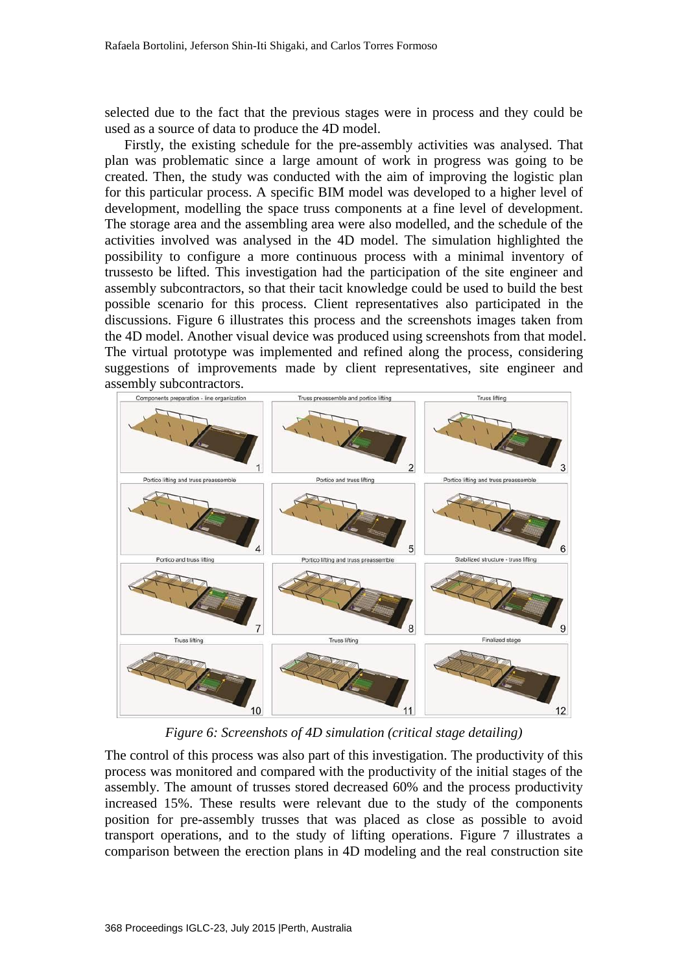selected due to the fact that the previous stages were in process and they could be used as a source of data to produce the 4D model.

Firstly, the existing schedule for the pre-assembly activities was analysed. That plan was problematic since a large amount of work in progress was going to be created. Then, the study was conducted with the aim of improving the logistic plan for this particular process. A specific BIM model was developed to a higher level of development, modelling the space truss components at a fine level of development. The storage area and the assembling area were also modelled, and the schedule of the activities involved was analysed in the 4D model. The simulation highlighted the possibility to configure a more continuous process with a minimal inventory of trussesto be lifted. This investigation had the participation of the site engineer and assembly subcontractors, so that their tacit knowledge could be used to build the best possible scenario for this process. Client representatives also participated in the discussions. Figure 6 illustrates this process and the screenshots images taken from the 4D model. Another visual device was produced using screenshots from that model. The virtual prototype was implemented and refined along the process, considering suggestions of improvements made by client representatives, site engineer and assembly subcontractors.



*Figure 6: Screenshots of 4D simulation (critical stage detailing)*

The control of this process was also part of this investigation. The productivity of this process was monitored and compared with the productivity of the initial stages of the assembly. The amount of trusses stored decreased 60% and the process productivity increased 15%. These results were relevant due to the study of the components position for pre-assembly trusses that was placed as close as possible to avoid transport operations, and to the study of lifting operations. Figure 7 illustrates a comparison between the erection plans in 4D modeling and the real construction site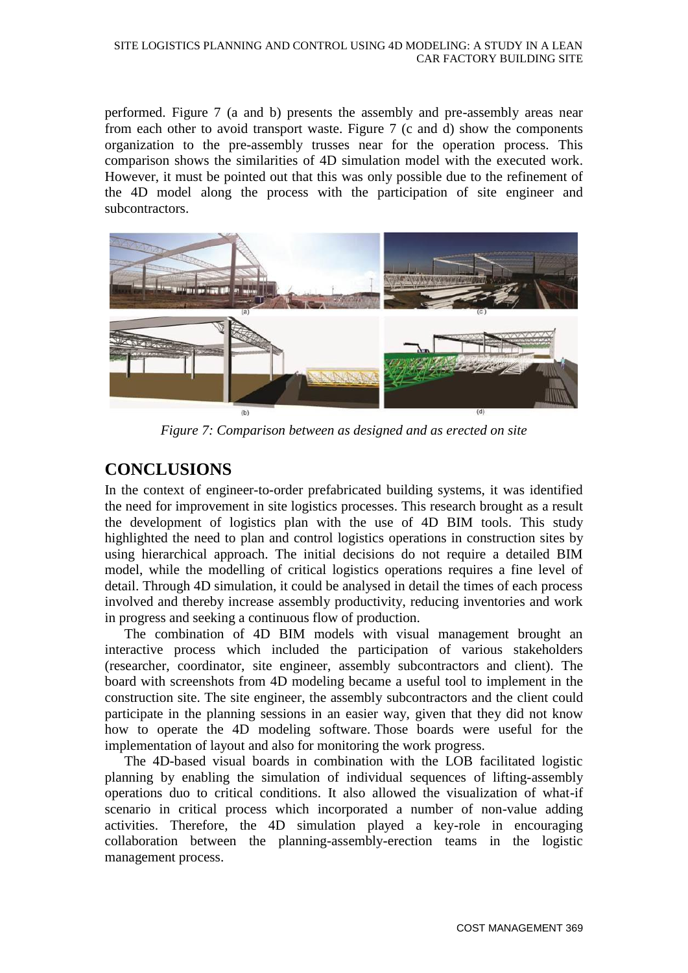performed. Figure 7 (a and b) presents the assembly and pre-assembly areas near from each other to avoid transport waste. Figure 7 (c and d) show the components organization to the pre-assembly trusses near for the operation process. This comparison shows the similarities of 4D simulation model with the executed work. However, it must be pointed out that this was only possible due to the refinement of the 4D model along the process with the participation of site engineer and subcontractors.



*Figure 7: Comparison between as designed and as erected on site*

# **CONCLUSIONS**

In the context of engineer-to-order prefabricated building systems, it was identified the need for improvement in site logistics processes. This research brought as a result the development of logistics plan with the use of 4D BIM tools. This study highlighted the need to plan and control logistics operations in construction sites by using hierarchical approach. The initial decisions do not require a detailed BIM model, while the modelling of critical logistics operations requires a fine level of detail. Through 4D simulation, it could be analysed in detail the times of each process involved and thereby increase assembly productivity, reducing inventories and work in progress and seeking a continuous flow of production.

The combination of 4D BIM models with visual management brought an interactive process which included the participation of various stakeholders (researcher, coordinator, site engineer, assembly subcontractors and client). The board with screenshots from 4D modeling became a useful tool to implement in the construction site. The site engineer, the assembly subcontractors and the client could participate in the planning sessions in an easier way, given that they did not know how to operate the 4D modeling software. Those boards were useful for the implementation of layout and also for monitoring the work progress.

The 4D-based visual boards in combination with the LOB facilitated logistic planning by enabling the simulation of individual sequences of lifting-assembly operations duo to critical conditions. It also allowed the visualization of what-if scenario in critical process which incorporated a number of non-value adding activities. Therefore, the 4D simulation played a key-role in encouraging collaboration between the planning-assembly-erection teams in the logistic management process.